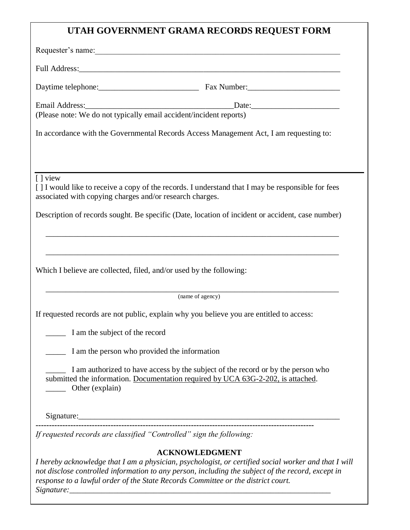## **UTAH GOVERNMENT GRAMA RECORDS REQUEST FORM**

|                                                                      | Requester's name:                                                                                                                                                                                                                                                                                                      |
|----------------------------------------------------------------------|------------------------------------------------------------------------------------------------------------------------------------------------------------------------------------------------------------------------------------------------------------------------------------------------------------------------|
|                                                                      |                                                                                                                                                                                                                                                                                                                        |
|                                                                      | Daytime telephone: Fax Number: Fax Number:                                                                                                                                                                                                                                                                             |
|                                                                      | Email Address:<br>Date:<br>(Please note: We do not typically email accident/incident reports)                                                                                                                                                                                                                          |
|                                                                      | In accordance with the Governmental Records Access Management Act, I am requesting to:                                                                                                                                                                                                                                 |
| [ ] view<br>associated with copying charges and/or research charges. | [] I would like to receive a copy of the records. I understand that I may be responsible for fees                                                                                                                                                                                                                      |
|                                                                      | Description of records sought. Be specific (Date, location of incident or accident, case number)                                                                                                                                                                                                                       |
| Which I believe are collected, filed, and/or used by the following:  |                                                                                                                                                                                                                                                                                                                        |
|                                                                      | (name of agency)                                                                                                                                                                                                                                                                                                       |
|                                                                      | If requested records are not public, explain why you believe you are entitled to access:                                                                                                                                                                                                                               |
| I am the subject of the record                                       |                                                                                                                                                                                                                                                                                                                        |
| I am the person who provided the information                         |                                                                                                                                                                                                                                                                                                                        |
| Other (explain)                                                      | I am authorized to have access by the subject of the record or by the person who<br>submitted the information. Documentation required by UCA 63G-2-202, is attached.                                                                                                                                                   |
|                                                                      |                                                                                                                                                                                                                                                                                                                        |
| If requested records are classified "Controlled" sign the following: |                                                                                                                                                                                                                                                                                                                        |
|                                                                      | <b>ACKNOWLEDGMENT</b><br>I hereby acknowledge that I am a physician, psychologist, or certified social worker and that I will<br>not disclose controlled information to any person, including the subject of the record, except in<br>response to a lawful order of the State Records Committee or the district court. |

*Signature:\_\_\_\_\_\_\_\_\_\_\_\_\_\_\_\_\_\_\_\_\_\_\_\_\_\_\_\_\_\_\_\_\_\_\_\_\_\_\_\_\_\_\_\_\_\_\_\_\_\_\_\_\_\_\_\_\_\_\_\_\_\_\_\_\_*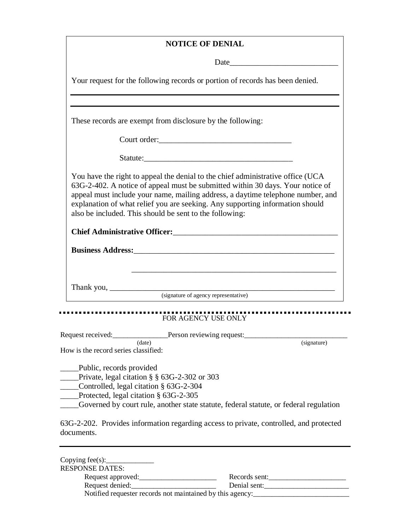## **NOTICE OF DENIAL**

|                                      |                                                                                                                                                                                                                                                                                                                                                                                                  | Date experience and the second service of the service of the service of the service of the service of the service of the service of the service of the service of the service of the service of the service of the service of |
|--------------------------------------|--------------------------------------------------------------------------------------------------------------------------------------------------------------------------------------------------------------------------------------------------------------------------------------------------------------------------------------------------------------------------------------------------|-------------------------------------------------------------------------------------------------------------------------------------------------------------------------------------------------------------------------------|
|                                      | Your request for the following records or portion of records has been denied.                                                                                                                                                                                                                                                                                                                    |                                                                                                                                                                                                                               |
|                                      |                                                                                                                                                                                                                                                                                                                                                                                                  |                                                                                                                                                                                                                               |
|                                      | These records are exempt from disclosure by the following:                                                                                                                                                                                                                                                                                                                                       |                                                                                                                                                                                                                               |
|                                      |                                                                                                                                                                                                                                                                                                                                                                                                  |                                                                                                                                                                                                                               |
|                                      |                                                                                                                                                                                                                                                                                                                                                                                                  |                                                                                                                                                                                                                               |
|                                      | You have the right to appeal the denial to the chief administrative office (UCA<br>63G-2-402. A notice of appeal must be submitted within 30 days. Your notice of<br>appeal must include your name, mailing address, a daytime telephone number, and<br>explanation of what relief you are seeking. Any supporting information should<br>also be included. This should be sent to the following: |                                                                                                                                                                                                                               |
|                                      |                                                                                                                                                                                                                                                                                                                                                                                                  |                                                                                                                                                                                                                               |
|                                      |                                                                                                                                                                                                                                                                                                                                                                                                  |                                                                                                                                                                                                                               |
|                                      | FOR AGENCY USE ONLY                                                                                                                                                                                                                                                                                                                                                                              |                                                                                                                                                                                                                               |
|                                      |                                                                                                                                                                                                                                                                                                                                                                                                  |                                                                                                                                                                                                                               |
| How is the record series classified: | (data)                                                                                                                                                                                                                                                                                                                                                                                           | (signature)                                                                                                                                                                                                                   |
| Public, records provided             |                                                                                                                                                                                                                                                                                                                                                                                                  |                                                                                                                                                                                                                               |
|                                      | Private, legal citation $\S$ $\S$ 63G-2-302 or 303                                                                                                                                                                                                                                                                                                                                               |                                                                                                                                                                                                                               |

- \_\_\_\_\_Controlled, legal citation § 63G-2-304
- \_\_\_\_\_Protected, legal citation § 63G-2-305

. .

\_\_\_\_\_Governed by court rule, another state statute, federal statute, or federal regulation

63G-2-202. Provides information regarding access to private, controlled, and protected documents.

| Copying $fee(s)$ :                                        |               |
|-----------------------------------------------------------|---------------|
| <b>RESPONSE DATES:</b>                                    |               |
| Request approved:                                         | Records sent: |
| Request denied:                                           | Denial sent:  |
| Notified requester records not maintained by this agency: |               |